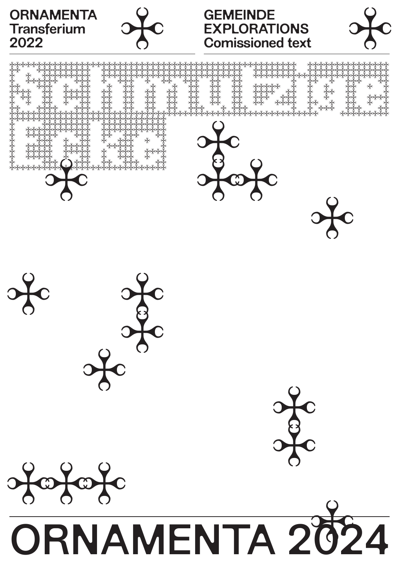



#### **GEMEINDE** EXPLORATIONS Comissioned text ORNAMENTA<br>Transferium OC EXPLORATIONS OC<br>2022 Comissioned text



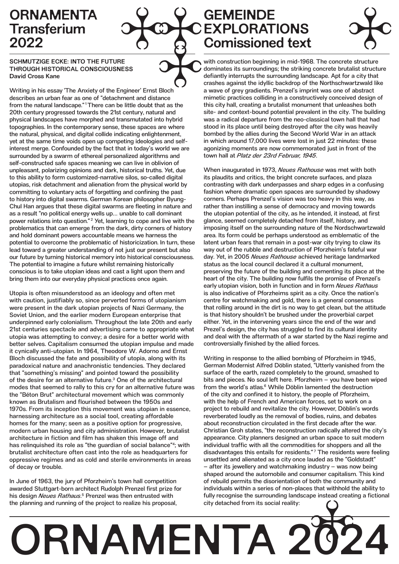### ORNAMENTA **Transferium** 2022

#### SCHMUTZIGE ECKE: INTO THE FUTURE THROUGH HISTORICAL CONSCIOUSNESS David Cross Kane

Writing in his essay 'The Anxiety of the Engineer' Ernst Bloch describes an urban fear as one of "detachment and distance from the natural landscape."<sup>1</sup> There can be little doubt that as the 20th century progressed towards the 21st century, natural and physical landscapes have morphed and transmutated into hybrid topographies. In the contemporary sense, these spaces are where the natural, physical, and digital collide indicating enlightenment, yet at the same time voids open up competing ideologies and selfinterest merge. Confounded by the fact that in today's world we are surrounded by a swarm of ethereal personalized algorithms and self-constructed safe spaces meaning we can live in oblivion of unpleasant, polarizing opinions and dark, historical truths. Yet, due to this ability to form customized-narrative silos, so-called digital utopias, risk detachment and alienation from the physical world by committing to voluntary acts of forgetting and confining the past to history into digital swarms. German Korean philosopher Byung-Chul Han argues that these digital swarms are fleeting in nature and as a result "no political energy wells up... unable to call dominant power relations into question." 2 Yet, learning to cope and live with the problematics that can emerge from the dark, dirty corners of history and hold dominant powers accountable means we harness the potential to overcome the problematic of historicization. In turn, these lead toward a greater understanding of not just our present but also our future by turning historical memory into historical consciousness. The potential to imagine a future whilst remaining historically conscious is to take utopian ideas and cast a light upon them and bring them into our everyday physical practices once again.

Utopia is often misunderstood as an ideology and often met with caution, justifiably so, since perverted forms of utopianism were present in the dark utopian projects of Nazi Germany, the Soviet Union, and the earlier modern European enterprise that underpinned early colonialism. Throughout the late 20th and early 21st centuries spectacle and advertising came to appropriate what utopia was attempting to convey; a desire for a better world with better selves. Capitalism consumed the utopian impulse and made it cynically anti-utopian. In 1964, Theodore W. Adorno and Ernst Bloch discussed the fate and possibility of utopia, along with its paradoxical nature and anachronistic tendencies. They declared that "something's missing" and pointed toward the possibility of the desire for an alternative future.3 One of the architectural modes that seemed to rally to this cry for an alternative future was the "Béton Brut" architectural movement which was commonly known as Brutalism and flourished between the 1950s and 1970s. From its inception this movement was utopian in essence, harnessing architecture as a social tool, creating affordable homes for the many; seen as a positive option for progressive, modern urban housing and city administration. However, brutalist architecture in fiction and film has shaken this image off and has relinquished its role as "the guardian of social balance"<sup>4</sup>; with brutalist architecture often cast into the role as headquarters for oppressive regimes and as cold and sterile environments in areas of decay or trouble.

In June of 1963, the jury of Pforzheim's town hall competition awarded Stuttgart-born architect Rudolph Prenzel first prize for his design Neues Rathaus.<sup>5</sup> Prenzel was then entrusted with the planning and running of the project to realize his proposal,

### GEMEINDE EXPLORATIONS Comissioned text

ORNAMENTA<br> **SCHAULTZIGE ECKE: INTO THE FUTURE<br>
SCHAULTZIGE ECKE: INTO THE FUTURE<br>
SCHAULTZIGE ECKE: INTO THE FUTURE<br>
THROUGH HISTORICAL CONSCIOUSNESS<br>
David Cross Kane<br>
National Cross Kane<br>
National Cross Cape (Apt for a c** with construction beginning in mid-1968. The concrete structure dominates its surroundings; the striking concrete brutalist structure defiantly interrupts the surrounding landscape. Apt for a city that crashes against the idyllic backdrop of the Northschwartzwald like a wave of grey gradients. Prenzel's imprint was one of abstract mimetic practices colliding in a constructively conceived design of this city hall, creating a brutalist monument that unleashes both site- and context-bound potential prevalent in the city. The building was a radical departure from the neo-classical town hall that had stood in its place until being destroyed after the city was heavily bombed by the allies during the Second World War in an attack in which around 17,000 lives were lost in just 22 minutes: these agonizing moments are now commemorated just in front of the town hall at Platz der 23rd Februar, 1945.

> When inaugurated in 1973, Neues Rathouse was met with both its plaudits and critics, the bright concrete surfaces, and plaza contrasting with dark underpasses and sharp edges in a confusing fashion where dramatic open spaces are surrounded by shadowy corners. Perhaps Prenzel's vision was too heavy in this way, as rather than instilling a sense of democracy and moving towards the utopian potential of the city, as he intended, it instead, at first glance, seemed completely detached from itself, history, and imposing itself on the surrounding nature of the Nordschwartzwald area. Its form could be perhaps understood as emblematic of the latent urban fears that remain in a post-war city trying to claw its way out of the rubble and destruction of Pforzheim's fateful war day. Yet, in 2005 Neues Rathouse achieved heritage landmarked status as the local council declared it a cultural monument, preserving the future of the building and cementing its place at the heart of the city. The building now fulfils the promise of Prenzel's early utopian vision, both in function and in form Neues Rathaus is also indicative of Pforzheims spirit as a city. Once the nation's centre for watchmaking and gold, there is a general consensus that rolling around in the dirt is no way to get clean, but the attitude is that history shouldn't be brushed under the proverbial carpet either. Yet, in the intervening years since the end of the war and Prezel's design, the city has struggled to find its cultural identity and deal with the aftermath of a war started by the Nazi regime and controversially finished by the allied forces.

Writing in response to the allied bombing of Pforzheim in 1945, German Modernist Alfred Döblin stated, "Utterly vanished from the surface of the earth, razed completely to the ground, smashed to bits and pieces. No soul left here. Pforzheim – you have been wiped from the world's atlas.<sup>6</sup> While Döblin lamented the destruction of the city and confined it to history, the people of Pforzheim, with the help of French and American forces, set to work on a project to rebuild and revitalize the city. However, Döblin's words reverberated loudly as the removal of bodies, ruins, and debates about reconstruction circulated in the first decade after the war. Christian Groh states, "the reconstruction radically altered the city's appearance. City planners designed an urban space to suit modern individual traffic with all the commodities for shoppers and all the disadvantages this entails for residents." <sup>7</sup> The residents were feeling unsettled and alienated as a city once lauded as the "Goldstadt" – after its jewellery and watchmaking industry – was now being shaped around the automobile and consumer capitalism. This kind of rebuild permits the disorientation of both the community and individuals within a series of non-places that withhold the ability to fully recognise the surrounding landscape instead creating a fictional city detached from its social reality:

# his design *Neues Rathaus*.<sup>5</sup> Prenzel was then entrusted with the planning landscape instead crea<br>the planning and running of the project to realize his proposal, city detached from its social reality: ORNAMENTA 2024